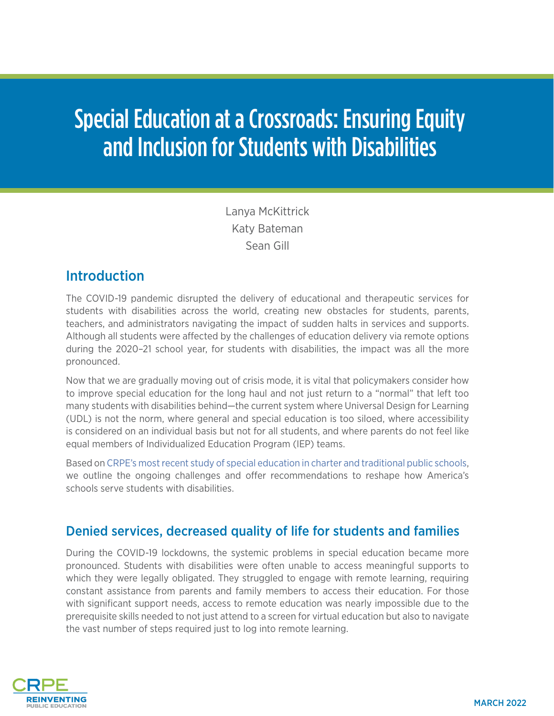# Special Education at a Crossroads: Ensuring Equity and Inclusion for Students with Disabilities

Lanya McKittrick Katy Bateman Sean Gill

## **Introduction**

The COVID-19 pandemic disrupted the delivery of educational and therapeutic services for students with disabilities across the world, creating new obstacles for students, parents, teachers, and administrators navigating the impact of sudden halts in services and supports. Although all students were affected by the challenges of education delivery via remote options during the 2020–21 school year, for students with disabilities, the impact was all the more pronounced.

Now that we are gradually moving out of crisis mode, it is vital that policymakers consider how to improve special education for the long haul and not just return to a "normal" that left too many students with disabilities behind—the current system where Universal Design for Learning (UDL) is not the norm, where general and special education is too siloed, where accessibility is considered on an individual basis but not for all students, and where parents do not feel like equal members of Individualized Education Program (IEP) teams.

Based on [CRPE's most recent study of special education in charter and traditional public schools](https://crpe.org/pandemic-learning/unique-learners/), we outline the ongoing challenges and offer recommendations to reshape how America's schools serve students with disabilities.

# Denied services, decreased quality of life for students and families

During the COVID-19 lockdowns, the systemic problems in special education became more pronounced. Students with disabilities were often unable to access meaningful supports to which they were legally obligated. They struggled to engage with remote learning, requiring constant assistance from parents and family members to access their education. For those with significant support needs, access to remote education was nearly impossible due to the prerequisite skills needed to not just attend to a screen for virtual education but also to navigate the vast number of steps required just to log into remote learning.

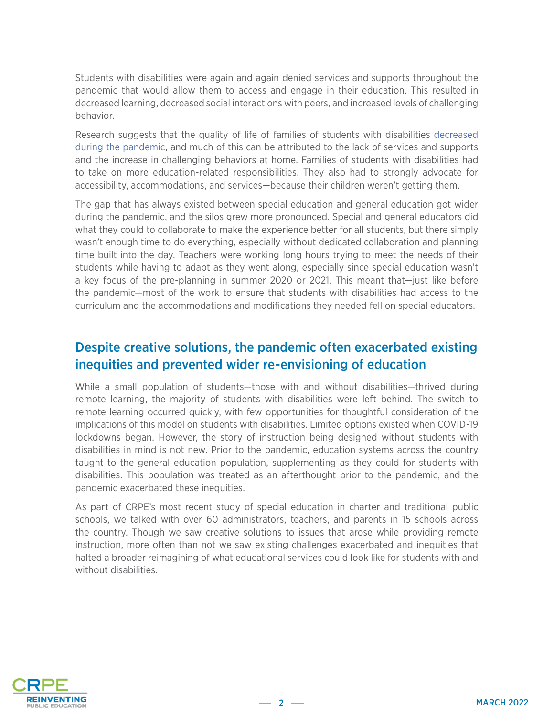Students with disabilities were again and again denied services and supports throughout the pandemic that would allow them to access and engage in their education. This resulted in decreased learning, decreased social interactions with peers, and increased levels of challenging behavior.

Research suggests that the quality of life of families of students with disabilities [decreased](https://www.ncbi.nlm.nih.gov/pmc/articles/PMC8037979/)  [during the pandemic,](https://www.ncbi.nlm.nih.gov/pmc/articles/PMC8037979/) and much of this can be attributed to the lack of services and supports and the increase in challenging behaviors at home. Families of students with disabilities had to take on more education-related responsibilities. They also had to strongly advocate for accessibility, accommodations, and services—because their children weren't getting them.

The gap that has always existed between special education and general education got wider during the pandemic, and the silos grew more pronounced. Special and general educators did what they could to collaborate to make the experience better for all students, but there simply wasn't enough time to do everything, especially without dedicated collaboration and planning time built into the day. Teachers were working long hours trying to meet the needs of their students while having to adapt as they went along, especially since special education wasn't a key focus of the pre-planning in summer 2020 or 2021. This meant that—just like before the pandemic—most of the work to ensure that students with disabilities had access to the curriculum and the accommodations and modifications they needed fell on special educators.

## Despite creative solutions, the pandemic often exacerbated existing inequities and prevented wider re-envisioning of education

While a small population of students—those with and without disabilities—thrived during remote learning, the majority of students with disabilities were left behind. The switch to remote learning occurred quickly, with few opportunities for thoughtful consideration of the implications of this model on students with disabilities. Limited options existed when COVID-19 lockdowns began. However, the story of instruction being designed without students with disabilities in mind is not new. Prior to the pandemic, education systems across the country taught to the general education population, supplementing as they could for students with disabilities. This population was treated as an afterthought prior to the pandemic, and the pandemic exacerbated these inequities.

As part of CRPE's most recent study of special education in charter and traditional public schools, we talked with over 60 administrators, teachers, and parents in 15 schools across the country. Though we saw creative solutions to issues that arose while providing remote instruction, more often than not we saw existing challenges exacerbated and inequities that halted a broader reimagining of what educational services could look like for students with and without disabilities.

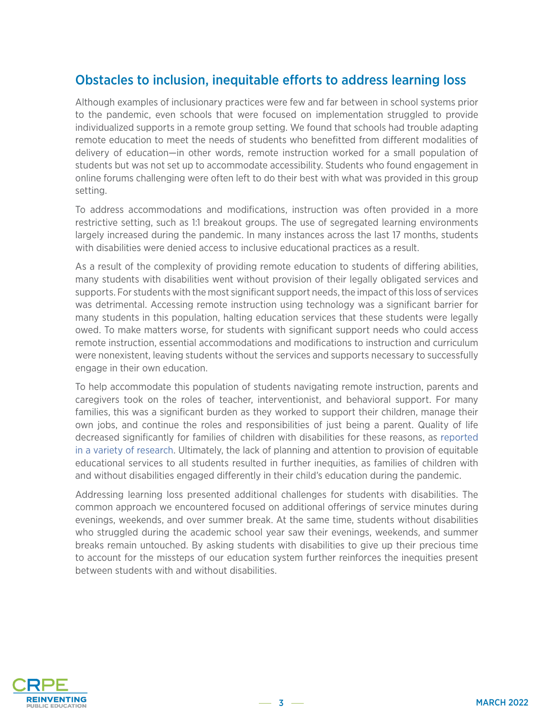## Obstacles to inclusion, inequitable efforts to address learning loss

Although examples of inclusionary practices were few and far between in school systems prior to the pandemic, even schools that were focused on implementation struggled to provide individualized supports in a remote group setting. We found that schools had trouble adapting remote education to meet the needs of students who benefitted from different modalities of delivery of education—in other words, remote instruction worked for a small population of students but was not set up to accommodate accessibility. Students who found engagement in online forums challenging were often left to do their best with what was provided in this group setting.

To address accommodations and modifications, instruction was often provided in a more restrictive setting, such as 1:1 breakout groups. The use of segregated learning environments largely increased during the pandemic. In many instances across the last 17 months, students with disabilities were denied access to inclusive educational practices as a result.

As a result of the complexity of providing remote education to students of differing abilities, many students with disabilities went without provision of their legally obligated services and supports. For students with the most significant support needs, the impact of this loss of services was detrimental. Accessing remote instruction using technology was a significant barrier for many students in this population, halting education services that these students were legally owed. To make matters worse, for students with significant support needs who could access remote instruction, essential accommodations and modifications to instruction and curriculum were nonexistent, leaving students without the services and supports necessary to successfully engage in their own education.

To help accommodate this population of students navigating remote instruction, parents and caregivers took on the roles of teacher, interventionist, and behavioral support. For many families, this was a significant burden as they worked to support their children, manage their own jobs, and continue the roles and responsibilities of just being a parent. Quality of life decreased significantly for families of children with disabilities for these reasons, as [reported](https://www.ncbi.nlm.nih.gov/pmc/articles/PMC8037979/)  [in a variety of research.](https://www.ncbi.nlm.nih.gov/pmc/articles/PMC8037979/) Ultimately, the lack of planning and attention to provision of equitable educational services to all students resulted in further inequities, as families of children with and without disabilities engaged differently in their child's education during the pandemic.

Addressing learning loss presented additional challenges for students with disabilities. The common approach we encountered focused on additional offerings of service minutes during evenings, weekends, and over summer break. At the same time, students without disabilities who struggled during the academic school year saw their evenings, weekends, and summer breaks remain untouched. By asking students with disabilities to give up their precious time to account for the missteps of our education system further reinforces the inequities present between students with and without disabilities.

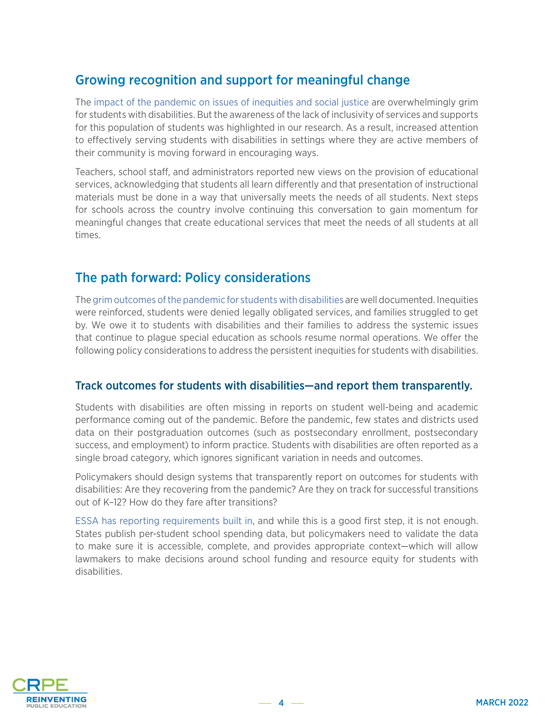## Growing recognition and support for meaningful change

The [impact of the pandemic on issues of inequities and social justice](https://crpe.org/unprecedented-unmasked-how-district-policy-documents-frame-special-education-covid-19/) are overwhelmingly grim for students with disabilities. But the awareness of the lack of inclusivity of services and supports for this population of students was highlighted in our research. As a result, increased attention to effectively serving students with disabilities in settings where they are active members of their community is moving forward in encouraging ways.

Teachers, school staff, and administrators reported new views on the provision of educational services, acknowledging that students all learn differently and that presentation of instructional materials must be done in a way that universally meets the needs of all students. Next steps for schools across the country involve continuing this conversation to gain momentum for meaningful changes that create educational services that meet the needs of all students at all times.

## The path forward: Policy considerations

The [grim outcomes of the pandemic for students with disabilities](https://crpe.org/wp-content/uploads/final_swd_report_2021.pdf) are well documented. Inequities were reinforced, students were denied legally obligated services, and families struggled to get by. We owe it to students with disabilities and their families to address the systemic issues that continue to plague special education as schools resume normal operations. We offer the following policy considerations to address the persistent inequities for students with disabilities.

#### Track outcomes for students with disabilities—and report them transparently.

Students with disabilities are often missing in reports on student well-being and academic performance coming out of the pandemic. Before the pandemic, few states and districts used data on their postgraduation outcomes (such as postsecondary enrollment, postsecondary success, and employment) to inform practice. Students with disabilities are often reported as a single broad category, which ignores significant variation in needs and outcomes.

Policymakers should design systems that transparently report on outcomes for students with disabilities: Are they recovering from the pandemic? Are they on track for successful transitions out of K–12? How do they fare after transitions?

[ESSA has reporting requirements built in](https://edtrust.org/school-spending-beyond-compliance/#void), and while this is a good first step, it is not enough. States publish per-student school spending data, but policymakers need to validate the data to make sure it is accessible, complete, and provides appropriate context—which will allow lawmakers to make decisions around school funding and resource equity for students with disabilities.

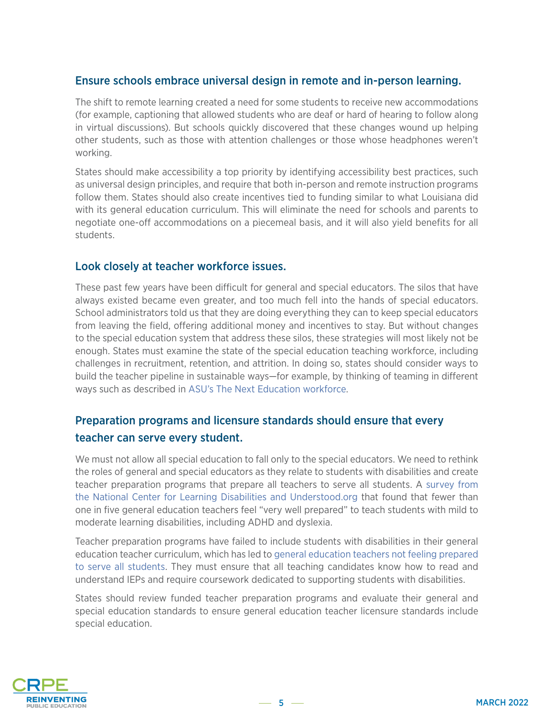#### Ensure schools embrace universal design in remote and in-person learning.

The shift to remote learning created a need for some students to receive new accommodations (for example, captioning that allowed students who are deaf or hard of hearing to follow along in virtual discussions). But schools quickly discovered that these changes wound up helping other students, such as those with attention challenges or those whose headphones weren't working.

States should make accessibility a top priority by identifying accessibility best practices, such as universal design principles, and require that both in-person and remote instruction programs follow them. States should also create incentives tied to funding similar to what Louisiana did with its general education curriculum. This will eliminate the need for schools and parents to negotiate one-off accommodations on a piecemeal basis, and it will also yield benefits for all students.

#### Look closely at teacher workforce issues.

These past few years have been difficult for general and special educators. The silos that have always existed became even greater, and too much fell into the hands of special educators. School administrators told us that they are doing everything they can to keep special educators from leaving the field, offering additional money and incentives to stay. But without changes to the special education system that address these silos, these strategies will most likely not be enough. States must examine the state of the special education teaching workforce, including challenges in recruitment, retention, and attrition. In doing so, states should consider ways to build the teacher pipeline in sustainable ways—for example, by thinking of teaming in different ways such as described in [ASU's The Next Education workforce.](https://workforce.education.asu.edu/resource/teacher-preparation-andthe-next-education-workforce)

## Preparation programs and licensure standards should ensure that every teacher can serve every student.

We must not allow all special education to fall only to the special educators. We need to rethink the roles of general and special educators as they relate to students with disabilities and create teacher preparation programs that prepare all teachers to serve all students. A [survey from](https://www.ncld.org/wp-content/uploads/2019/05/Forward-Together_NCLD-report.pdf)  [the National Center for Learning Disabilities and Understood.org](https://www.ncld.org/wp-content/uploads/2019/05/Forward-Together_NCLD-report.pdf) that found that fewer than one in five general education teachers feel "very well prepared" to teach students with mild to moderate learning disabilities, including ADHD and dyslexia.

Teacher preparation programs have failed to include students with disabilities in their general education teacher curriculum, which has led to [general education teachers not feeling prepared](https://www.edweek.org/teaching-learning/teacher-prep-needs-more-focus-on-students-with-disabilities-report-says/2020/01)  [to serve all students.](https://www.edweek.org/teaching-learning/teacher-prep-needs-more-focus-on-students-with-disabilities-report-says/2020/01) They must ensure that all teaching candidates know how to read and understand IEPs and require coursework dedicated to supporting students with disabilities.

States should review funded teacher preparation programs and evaluate their general and special education standards to ensure general education teacher licensure standards include special education.